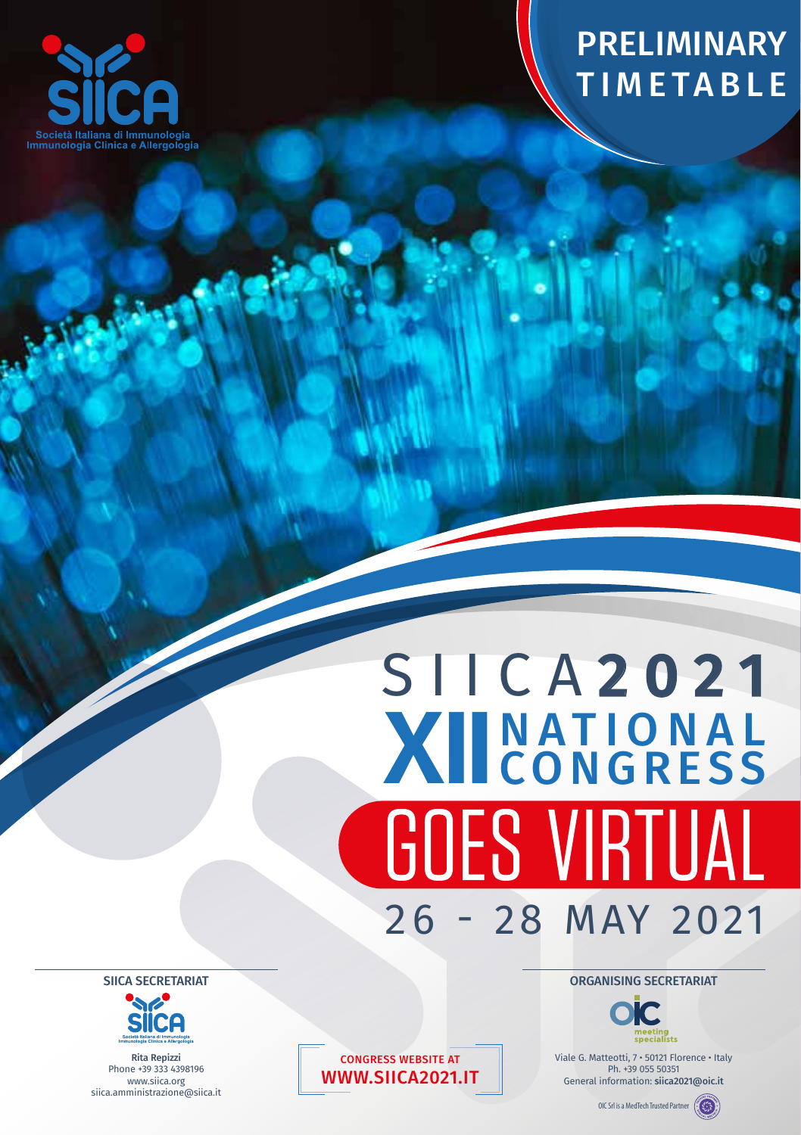

**AN** 

## PRELIMINARY TIMETABLE

## SIICA 2021 NATIONAL **CONGRESS GOES VIRTUAL** 26 - 28 MAY 2021

ORGANISING SECRETARIAT



Viale G. Matteotti, 7 • 50121 Florence • Italy Ph. +39 055 50351 General information: siica2021@oic.it

OIC Srl is a MedTech Trusted Partner (

SIICA SECRETARIAT



Rita Repizzi Phone +39 333 4398196 www.siica.org siica.amministrazione@siica.it

CONGRESS WEBSITE AT WWW.SIICA2021.IT